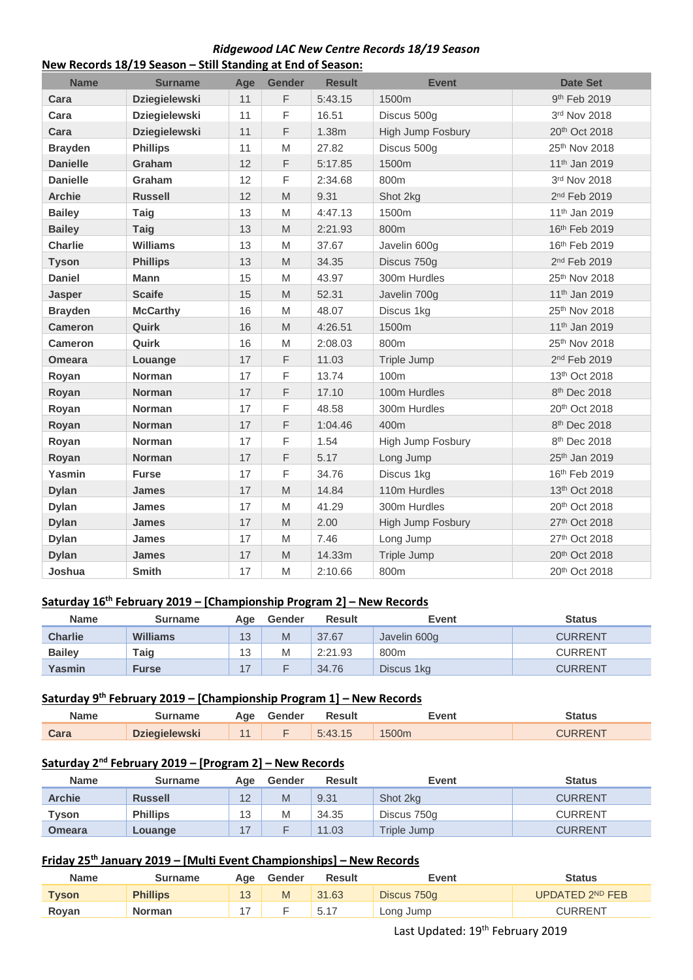### *Ridgewood LAC New Centre Records 18/19 Season* **New Records 18/19 Season – Still Standing at End of Season:**

| <b>Name</b>     | <b>Surname</b>       | Age | <b>Gender</b>                                                                                              | <b>Result</b> | <b>Event</b>      | <b>Date Set</b>           |
|-----------------|----------------------|-----|------------------------------------------------------------------------------------------------------------|---------------|-------------------|---------------------------|
| Cara            | <b>Dziegielewski</b> | 11  | F                                                                                                          | 5:43.15       | 1500m             | 9th Feb 2019              |
| Cara            | <b>Dziegielewski</b> | 11  | F                                                                                                          | 16.51         | Discus 500g       | 3rd Nov 2018              |
| Cara            | <b>Dziegielewski</b> | 11  | F                                                                                                          | 1.38m         | High Jump Fosbury | 20th Oct 2018             |
| <b>Brayden</b>  | <b>Phillips</b>      | 11  | M                                                                                                          | 27.82         | Discus 500g       | 25th Nov 2018             |
| <b>Danielle</b> | Graham               | 12  | F                                                                                                          | 5:17.85       | 1500m             | 11 <sup>th</sup> Jan 2019 |
| <b>Danielle</b> | Graham               | 12  | F                                                                                                          | 2:34.68       | 800m              | 3rd Nov 2018              |
| <b>Archie</b>   | <b>Russell</b>       | 12  | $\mathsf{M}% _{T}=\mathsf{M}_{T}\!\left( a,b\right) ,\ \mathsf{M}_{T}=\mathsf{M}_{T}\!\left( a,b\right) ,$ | 9.31          | Shot 2kg          | 2 <sup>nd</sup> Feb 2019  |
| <b>Bailey</b>   | Taig                 | 13  | M                                                                                                          | 4:47.13       | 1500m             | 11 <sup>th</sup> Jan 2019 |
| <b>Bailey</b>   | <b>Taig</b>          | 13  | M                                                                                                          | 2:21.93       | 800m              | 16th Feb 2019             |
| <b>Charlie</b>  | <b>Williams</b>      | 13  | M                                                                                                          | 37.67         | Javelin 600g      | 16th Feb 2019             |
| <b>Tyson</b>    | <b>Phillips</b>      | 13  | M                                                                                                          | 34.35         | Discus 750g       | 2 <sup>nd</sup> Feb 2019  |
| <b>Daniel</b>   | Mann                 | 15  | M                                                                                                          | 43.97         | 300m Hurdles      | 25th Nov 2018             |
| <b>Jasper</b>   | <b>Scaife</b>        | 15  | M                                                                                                          | 52.31         | Javelin 700g      | 11 <sup>th</sup> Jan 2019 |
| <b>Brayden</b>  | <b>McCarthy</b>      | 16  | M                                                                                                          | 48.07         | Discus 1kg        | 25th Nov 2018             |
| <b>Cameron</b>  | Quirk                | 16  | M                                                                                                          | 4:26.51       | 1500m             | 11 <sup>th</sup> Jan 2019 |
| <b>Cameron</b>  | Quirk                | 16  | M                                                                                                          | 2:08.03       | 800m              | 25th Nov 2018             |
| <b>Omeara</b>   | Louange              | 17  | F                                                                                                          | 11.03         | Triple Jump       | 2 <sup>nd</sup> Feb 2019  |
| Royan           | Norman               | 17  | F                                                                                                          | 13.74         | 100m              | 13th Oct 2018             |
| Royan           | <b>Norman</b>        | 17  | F                                                                                                          | 17.10         | 100m Hurdles      | 8th Dec 2018              |
| Royan           | <b>Norman</b>        | 17  | F                                                                                                          | 48.58         | 300m Hurdles      | 20 <sup>th</sup> Oct 2018 |
| Royan           | <b>Norman</b>        | 17  | F                                                                                                          | 1:04.46       | 400m              | 8 <sup>th</sup> Dec 2018  |
| Royan           | <b>Norman</b>        | 17  | F                                                                                                          | 1.54          | High Jump Fosbury | 8 <sup>th</sup> Dec 2018  |
| Royan           | Norman               | 17  | F                                                                                                          | 5.17          | Long Jump         | 25th Jan 2019             |
| Yasmin          | <b>Furse</b>         | 17  | F                                                                                                          | 34.76         | Discus 1kg        | 16th Feb 2019             |
| <b>Dylan</b>    | <b>James</b>         | 17  | $\mathsf{M}% _{T}=\mathsf{M}_{T}\!\left( a,b\right) ,\ \mathsf{M}_{T}=\mathsf{M}_{T}\!\left( a,b\right) ,$ | 14.84         | 110m Hurdles      | 13th Oct 2018             |
| <b>Dylan</b>    | <b>James</b>         | 17  | M                                                                                                          | 41.29         | 300m Hurdles      | 20th Oct 2018             |
| <b>Dylan</b>    | <b>James</b>         | 17  | M                                                                                                          | 2.00          | High Jump Fosbury | 27th Oct 2018             |
| <b>Dylan</b>    | <b>James</b>         | 17  | M                                                                                                          | 7.46          | Long Jump         | 27th Oct 2018             |
| <b>Dylan</b>    | <b>James</b>         | 17  | M                                                                                                          | 14.33m        | Triple Jump       | 20th Oct 2018             |
| Joshua          | <b>Smith</b>         | 17  | M                                                                                                          | 2:10.66       | 800m              | 20th Oct 2018             |

### **Saturday 16th February 2019 – [Championship Program 2] – New Records**

| <b>Name</b>    | Surname         | Aae | Gender | <b>Result</b> | Event        | <b>Status</b>  |
|----------------|-----------------|-----|--------|---------------|--------------|----------------|
| <b>Charlie</b> | <b>Williams</b> | 13  | M      | 37.67         | Javelin 600g | <b>CURRENT</b> |
| <b>Bailev</b>  | Гаіɑ            | 13  | M      | 2:21.93       | 800m         | <b>CURRENT</b> |
| Yasmin         | Furse           |     |        | 34.76         | Discus 1kg   | <b>CURRENT</b> |

### **Saturday 9 th February 2019 – [Championship Program 1] – New Records**

| Name | Surname              |    | Age Gender | <b>Result</b> | Event             | Status  |
|------|----------------------|----|------------|---------------|-------------------|---------|
| Cara | <b>Dziegielewski</b> | 11 |            | 5:43.15       | 1500 <sub>m</sub> | CURRENT |

# **Saturday 2nd February 2019 – [Program 2] – New Records**

| <b>Name</b>   | <b>Surname</b>  | Age | Gender | <b>Result</b> | Event       | <b>Status</b>  |
|---------------|-----------------|-----|--------|---------------|-------------|----------------|
| <b>Archie</b> | <b>Russell</b>  | 12  | M      | 9.31          | Shot 2kg    | <b>CURRENT</b> |
| <b>Tyson</b>  | <b>Phillips</b> | 13  | M      | 34.35         | Discus 750g | <b>CURRENT</b> |
| <b>Omeara</b> | Louange         |     |        | 11.03         | Triple Jump | <b>CURRENT</b> |

## **Friday 25th January 2019 – [Multi Event Championships] – New Records**

| <b>Name</b>  | <b>Surname</b>  | Age | Gender | Result | Event       | Status          |
|--------------|-----------------|-----|--------|--------|-------------|-----------------|
| <b>Tyson</b> | <b>Phillips</b> | 13  | M      | 31.63  | Discus 750g | UPDATED 2ND FEB |
| Royan        | <b>Norman</b>   |     |        | 5.17   | Long Jump   | <b>CURRENT</b>  |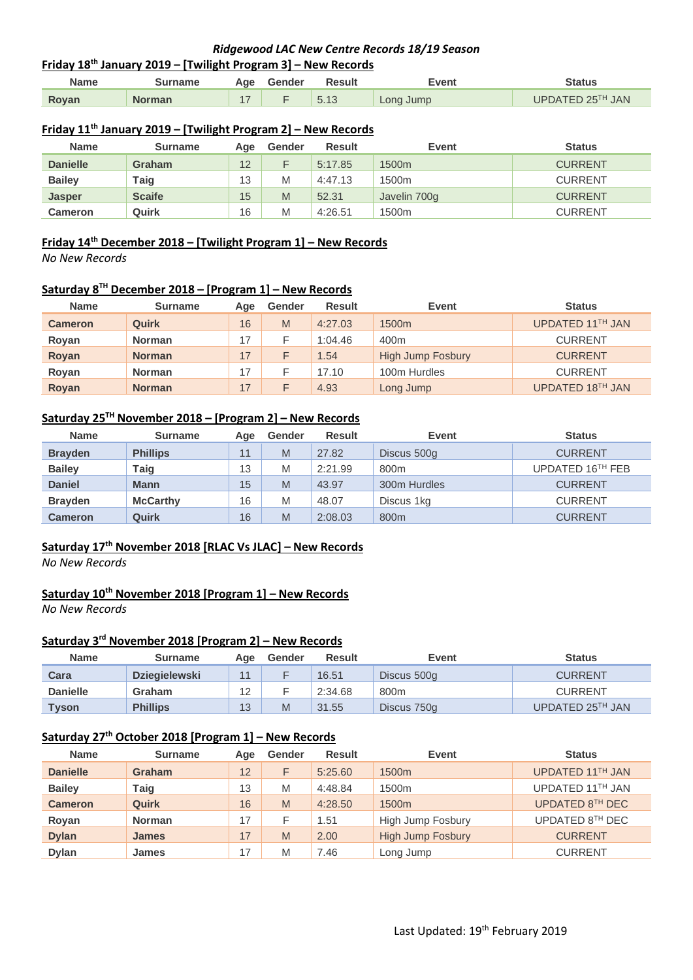### **Friday 18th January 2019 – [Twilight Program 3] – New Records**

| <b>Name</b> | Surname       | Age Gender | <b>Result</b> | Event     | Status           |
|-------------|---------------|------------|---------------|-----------|------------------|
| Royan       | <b>Norman</b> |            | 5.13          | Long Jump | UPDATED 25TH JAN |

### **Friday 11th January 2019 – [Twilight Program 2] – New Records**

| <b>Name</b>     | <b>Surname</b> | Aae | Gender | <b>Result</b> | Event             | <b>Status</b>  |
|-----------------|----------------|-----|--------|---------------|-------------------|----------------|
| <b>Danielle</b> | Graham         | 12  |        | 5:17.85       | 1500 <sub>m</sub> | <b>CURRENT</b> |
| <b>Bailey</b>   | Taig           | 13  | M      | 4:47.13       | 1500 <sub>m</sub> | <b>CURRENT</b> |
| <b>Jasper</b>   | <b>Scaife</b>  | 15  | M      | 52.31         | Javelin 700g      | <b>CURRENT</b> |
| <b>Cameron</b>  | Quirk          | 16  | M      | 4:26.51       | 1500m             | <b>CURRENT</b> |

### **Friday 14th December 2018 – [Twilight Program 1] – New Records**

*No New Records*

#### **Saturday 8 TH December 2018 – [Program 1] – New Records**

| <b>Name</b>    | <b>Surname</b> | Age | Gender | <b>Result</b> | <b>Event</b>             | <b>Status</b>    |
|----------------|----------------|-----|--------|---------------|--------------------------|------------------|
| <b>Cameron</b> | Quirk          | 16  | M      | 4:27.03       | 1500 <sub>m</sub>        | UPDATED 11TH JAN |
| Royan          | <b>Norman</b>  |     |        | 1:04.46       | 400 <sub>m</sub>         | <b>CURRENT</b>   |
| Royan          | <b>Norman</b>  | 17  |        | 1.54          | <b>High Jump Fosbury</b> | <b>CURRENT</b>   |
| Royan          | <b>Norman</b>  |     |        | 17.10         | 100m Hurdles             | <b>CURRENT</b>   |
| Royan          | <b>Norman</b>  | 17  |        | 4.93          | Long Jump                | UPDATED 18TH JAN |

### **Saturday 25TH November 2018 – [Program 2] – New Records**

| <b>Name</b>    | <b>Surname</b>  | Age | Gender | <b>Result</b> | Event        | <b>Status</b>    |
|----------------|-----------------|-----|--------|---------------|--------------|------------------|
| <b>Brayden</b> | <b>Phillips</b> | 11  | M      | 27.82         | Discus 500g  | <b>CURRENT</b>   |
| <b>Bailey</b>  | Taig            | 13  | M      | 2:21.99       | 800m         | UPDATED 16TH FEB |
| <b>Daniel</b>  | <b>Mann</b>     | 15  | M      | 43.97         | 300m Hurdles | <b>CURRENT</b>   |
| <b>Brayden</b> | <b>McCarthy</b> | 16  | M      | 48.07         | Discus 1kg   | <b>CURRENT</b>   |
| <b>Cameron</b> | Quirk           | 16  | M      | 2:08.03       | 800m         | <b>CURRENT</b>   |

### **Saturday 17th November 2018 [RLAC Vs JLAC] – New Records**

*No New Records*

#### **Saturday 10th November 2018 [Program 1] – New Records**

*No New Records*

#### **Saturday 3 rd November 2018 [Program 2] – New Records**

| <b>Name</b>     | <b>Surname</b>       | Aae | Gender | <b>Result</b> | <b>Event</b>     | <b>Status</b>    |
|-----------------|----------------------|-----|--------|---------------|------------------|------------------|
| Cara            | <b>Dziegielewski</b> |     |        | 16.51         | Discus 500g      | <b>CURRENT</b>   |
| <b>Danielle</b> | Graham               | 12  |        | 2:34.68       | 800 <sub>m</sub> | <b>CURRENT</b>   |
| <b>Tyson</b>    | <b>Phillips</b>      | 13  | M      | 31.55         | Discus 750g      | UPDATED 25TH JAN |

### **Saturday 27th October 2018 [Program 1] – New Records**

| <b>Name</b>     | <b>Surname</b> | Age | Gender | <b>Result</b> | Event                    | <b>Status</b>    |
|-----------------|----------------|-----|--------|---------------|--------------------------|------------------|
| <b>Danielle</b> | Graham         | 12  | F.     | 5:25.60       | 1500 <sub>m</sub>        | UPDATED 11TH JAN |
| <b>Bailey</b>   | Taiq           | 13  | M      | 4:48.84       | 1500m                    | UPDATED 11TH JAN |
| <b>Cameron</b>  | Quirk          | 16  | M      | 4:28.50       | 1500 <sub>m</sub>        | UPDATED 8TH DEC  |
| Royan           | <b>Norman</b>  | 17  |        | 1.51          | High Jump Fosbury        | UPDATED 8TH DEC  |
| <b>Dylan</b>    | <b>James</b>   | 17  | M      | 2.00          | <b>High Jump Fosbury</b> | <b>CURRENT</b>   |
| <b>Dylan</b>    | <b>James</b>   | 17  | M      | 7.46          | Long Jump                | <b>CURRENT</b>   |